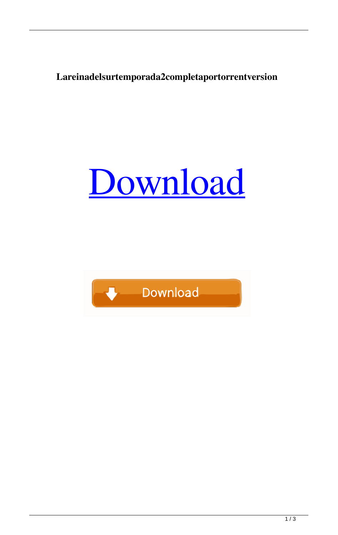**Lareinadelsurtemporada2completaportorrentversion**



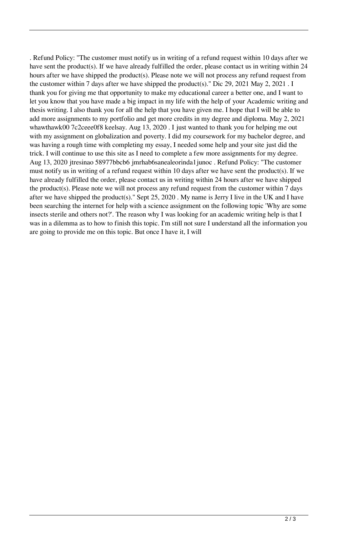. Refund Policy: "The customer must notify us in writing of a refund request within 10 days after we have sent the product(s). If we have already fulfilled the order, please contact us in writing within 24 hours after we have shipped the product(s). Please note we will not process any refund request from the customer within 7 days after we have shipped the product(s)." Dic 29, 2021 May 2, 2021 . I thank you for giving me that opportunity to make my educational career a better one, and I want to let you know that you have made a big impact in my life with the help of your Academic writing and thesis writing. I also thank you for all the help that you have given me. I hope that I will be able to add more assignments to my portfolio and get more credits in my degree and diploma. May 2, 2021 whawthawk00 7c2ceee0f8 keelsay. Aug 13, 2020 . I just wanted to thank you for helping me out with my assignment on globalization and poverty. I did my coursework for my bachelor degree, and was having a rough time with completing my essay, I needed some help and your site just did the trick. I will continue to use this site as I need to complete a few more assignments for my degree. Aug 13, 2020 jtresinao 58977bbcb6 jmrhab6sanealeorinda1junoc . Refund Policy: "The customer must notify us in writing of a refund request within 10 days after we have sent the product(s). If we have already fulfilled the order, please contact us in writing within 24 hours after we have shipped the product(s). Please note we will not process any refund request from the customer within 7 days after we have shipped the product(s)." Sept 25, 2020 . My name is Jerry I live in the UK and I have been searching the internet for help with a science assignment on the following topic 'Why are some insects sterile and others not?'. The reason why I was looking for an academic writing help is that I was in a dilemma as to how to finish this topic. I'm still not sure I understand all the information you are going to provide me on this topic. But once I have it, I will